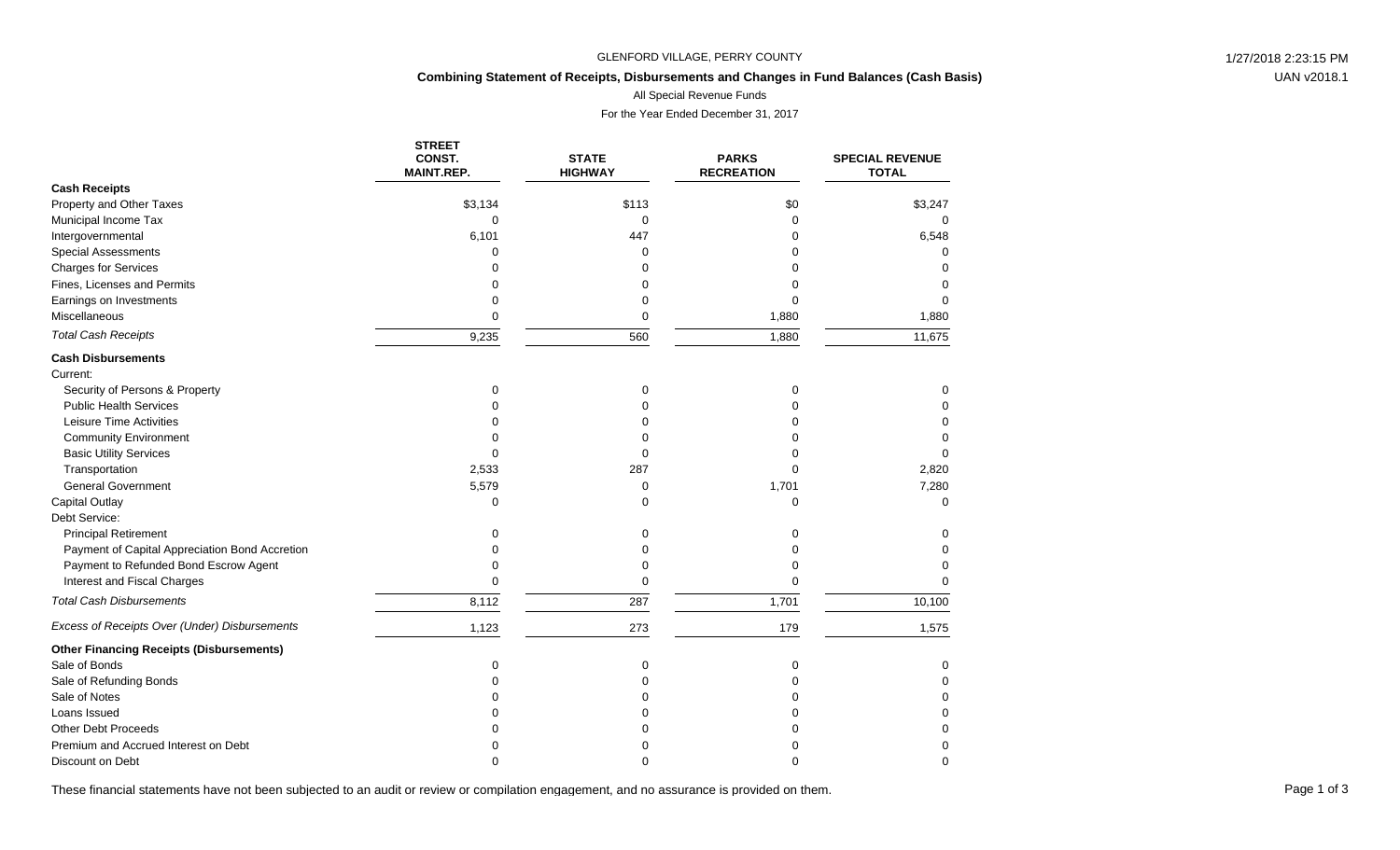### GLENFORD VILLAGE, PERRY COUNTY **1/27/2018** 2:23:15 PM

## **Combining Statement of Receipts, Disbursements and Changes in Fund Balances (Cash Basis)**

All Special Revenue Funds

For the Year Ended December 31, 2017

|                                                 | <b>STREET</b><br>CONST. | <b>STATE</b>   | <b>PARKS</b>      | <b>SPECIAL REVENUE</b> |
|-------------------------------------------------|-------------------------|----------------|-------------------|------------------------|
|                                                 | <b>MAINT.REP.</b>       | <b>HIGHWAY</b> | <b>RECREATION</b> | <b>TOTAL</b>           |
| <b>Cash Receipts</b>                            |                         |                |                   |                        |
| Property and Other Taxes                        | \$3,134                 | \$113          | \$0               | \$3,247                |
| Municipal Income Tax                            | 0                       | 0              | $\Omega$          | $\Omega$               |
| Intergovernmental                               | 6,101                   | 447            | ი                 | 6,548                  |
| <b>Special Assessments</b>                      | 0                       | $\Omega$       | 0                 | <sup>0</sup>           |
| <b>Charges for Services</b>                     | $\Omega$                | $\Omega$       | n                 | $\Omega$               |
| Fines, Licenses and Permits                     | 0                       | $\Omega$       |                   | $\Omega$               |
| Earnings on Investments                         | 0                       | 0              | 0                 | $\Omega$               |
| Miscellaneous                                   | 0                       | 0              | 1,880             | 1,880                  |
| <b>Total Cash Receipts</b>                      | 9,235                   | 560            | 1,880             | 11,675                 |
| <b>Cash Disbursements</b>                       |                         |                |                   |                        |
| Current:                                        |                         |                |                   |                        |
| Security of Persons & Property                  | 0                       | 0              | 0                 | 0                      |
| <b>Public Health Services</b>                   | 0                       | $\Omega$       | $\Omega$          | $\Omega$               |
| Leisure Time Activities                         | $\Omega$                | $\Omega$       | U                 | 0                      |
| <b>Community Environment</b>                    | $\Omega$                | $\Omega$       | ი                 | 0                      |
| <b>Basic Utility Services</b>                   | 0                       | $\mathbf 0$    | ი                 | $\Omega$               |
| Transportation                                  | 2,533                   | 287            | 0                 | 2,820                  |
| <b>General Government</b>                       | 5,579                   | 0              | 1,701             | 7,280                  |
| <b>Capital Outlay</b>                           | 0                       | $\Omega$       | $\mathbf 0$       | $\Omega$               |
| Debt Service:                                   |                         |                |                   |                        |
| <b>Principal Retirement</b>                     | 0                       | $\mathbf 0$    | 0                 | 0                      |
| Payment of Capital Appreciation Bond Accretion  | U                       | $\Omega$       | 0                 | $\Omega$               |
| Payment to Refunded Bond Escrow Agent           | U                       | $\Omega$       | $\Omega$          | $\Omega$               |
| Interest and Fiscal Charges                     | 0                       | $\mathbf 0$    | $\Omega$          | $\Omega$               |
| <b>Total Cash Disbursements</b>                 | 8,112                   | 287            | 1,701             | 10,100                 |
| Excess of Receipts Over (Under) Disbursements   | 1,123                   | 273            | 179               | 1,575                  |
| <b>Other Financing Receipts (Disbursements)</b> |                         |                |                   |                        |
| Sale of Bonds                                   | 0                       | 0              | 0                 | 0                      |
| Sale of Refunding Bonds                         | 0                       | $\Omega$       | $\Omega$          | $\Omega$               |
| Sale of Notes                                   | ი                       | $\Omega$       | 0                 | $\Omega$               |
| Loans Issued                                    |                         | $\Omega$       |                   | $\Omega$               |
| <b>Other Debt Proceeds</b>                      |                         | O              | n                 | 0                      |
| Premium and Accrued Interest on Debt            |                         | O              | n                 | $\Omega$               |
| Discount on Debt                                | ∩                       | $\Omega$       | 0                 | $\Omega$               |

These financial statements have not been subjected to an audit or review or compilation engagement, and no assurance is provided on them.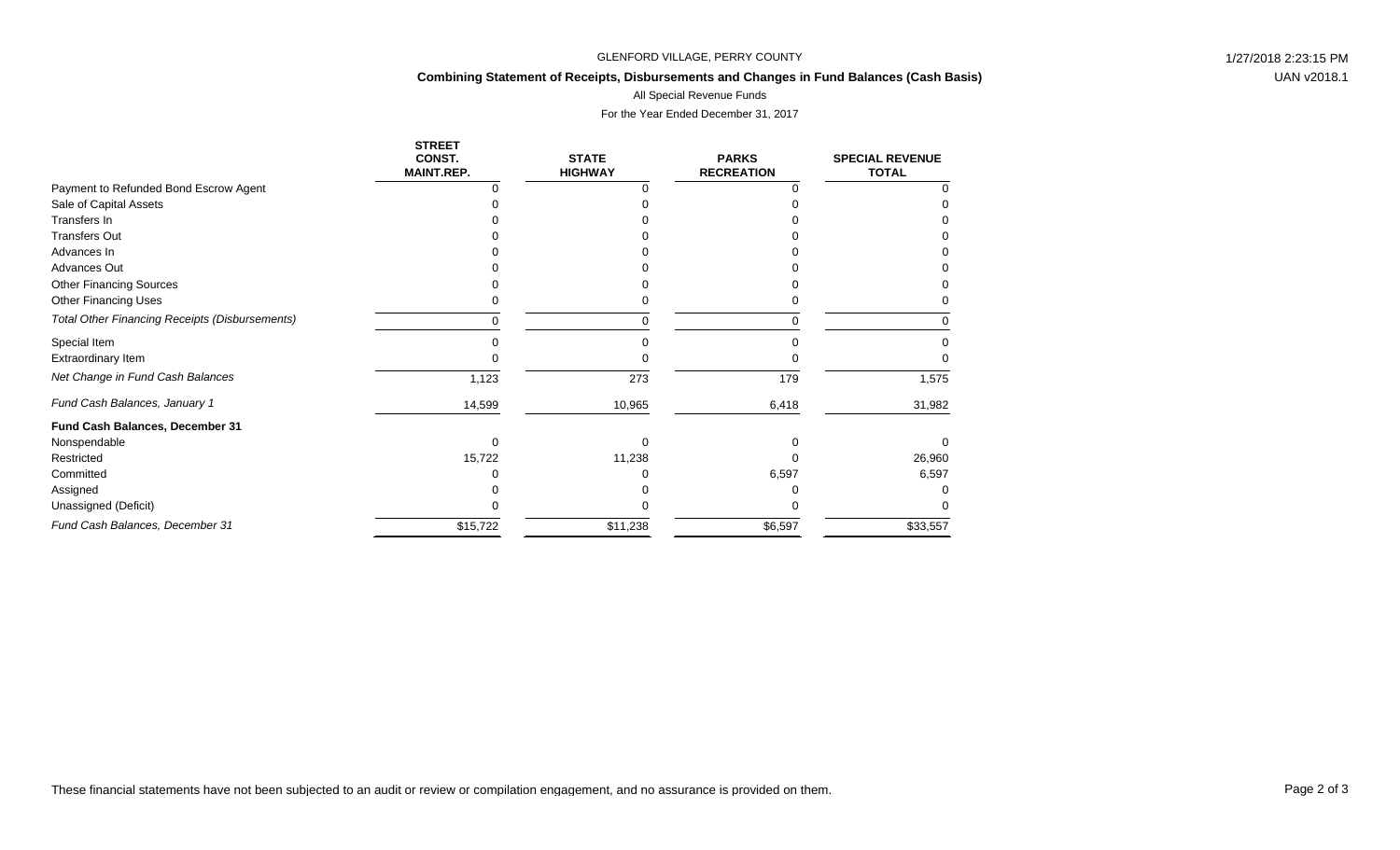### GLENFORD VILLAGE, PERRY COUNTY **1/27/2018** 2:23:15 PM

# **Combining Statement of Receipts, Disbursements and Changes in Fund Balances (Cash Basis)**

All Special Revenue Funds

For the Year Ended December 31, 2017

|                                                       | <b>STREET</b><br>CONST.<br><b>MAINT.REP.</b> | <b>STATE</b><br><b>HIGHWAY</b> | <b>PARKS</b><br><b>RECREATION</b> | <b>SPECIAL REVENUE</b><br><b>TOTAL</b> |
|-------------------------------------------------------|----------------------------------------------|--------------------------------|-----------------------------------|----------------------------------------|
| Payment to Refunded Bond Escrow Agent                 |                                              |                                |                                   |                                        |
| Sale of Capital Assets                                |                                              |                                |                                   |                                        |
| Transfers In                                          |                                              |                                |                                   |                                        |
| <b>Transfers Out</b>                                  |                                              |                                |                                   |                                        |
| Advances In                                           |                                              |                                |                                   |                                        |
| <b>Advances Out</b>                                   |                                              |                                |                                   |                                        |
| <b>Other Financing Sources</b>                        |                                              |                                |                                   |                                        |
| <b>Other Financing Uses</b>                           |                                              |                                |                                   |                                        |
| <b>Total Other Financing Receipts (Disbursements)</b> | ∩                                            |                                |                                   | 0                                      |
| Special Item                                          |                                              |                                |                                   |                                        |
| Extraordinary Item                                    |                                              |                                |                                   |                                        |
| Net Change in Fund Cash Balances                      | 1,123                                        | 273                            | 179                               | 1,575                                  |
| Fund Cash Balances, January 1                         | 14,599                                       | 10,965                         | 6,418                             | 31,982                                 |
| Fund Cash Balances, December 31                       |                                              |                                |                                   |                                        |
| Nonspendable                                          | 0                                            | O                              |                                   | <sup>0</sup>                           |
| Restricted                                            | 15,722                                       | 11,238                         |                                   | 26,960                                 |
| Committed                                             |                                              |                                | 6,597                             | 6,597                                  |
| Assigned                                              |                                              |                                |                                   |                                        |
| Unassigned (Deficit)                                  |                                              |                                |                                   |                                        |
| Fund Cash Balances, December 31                       | \$15,722                                     | \$11,238                       | \$6,597                           | \$33,557                               |